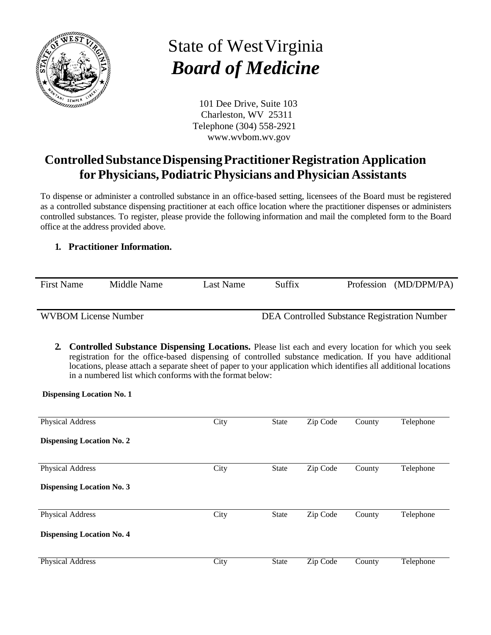

## State of WestVirginia *Board of Medicine*

101 Dee Drive, Suite 103 Charleston, WV 25311 Telephone (304) 558-2921 [www.wvbom.wv.gov](http://www.wvbom.wv.gov/)

## **ControlledSubstanceDispensingPractitionerRegistration Application for Physicians, Podiatric Physicians and Physician Assistants**

To dispense or administer a controlled substance in an office-based setting, licensees of the Board must be registered as a controlled substance dispensing practitioner at each office location where the practitioner dispenses or administers controlled substances. To register, please provide the following information and mail the completed form to the Board office at the address provided above.

## **1. Practitioner Information.**

| <b>First Name</b>           | Middle Name | Last Name | Suffix                                       |  | Profession (MD/DPM/PA) |  |  |
|-----------------------------|-------------|-----------|----------------------------------------------|--|------------------------|--|--|
| <b>WVBOM License Number</b> |             |           | DEA Controlled Substance Registration Number |  |                        |  |  |

**2. Controlled Substance Dispensing Locations.** Please list each and every location for which you seek registration for the office-based dispensing of controlled substance medication. If you have additional locations, please attach a separate sheet of paper to your application which identifies all additional locations in a numbered list which conforms with the format below:

**Dispensing Location No. 1**

| <b>Physical Address</b>          | City | <b>State</b> | Zip Code | County | Telephone |
|----------------------------------|------|--------------|----------|--------|-----------|
| <b>Dispensing Location No. 2</b> |      |              |          |        |           |
| <b>Physical Address</b>          | City | <b>State</b> | Zip Code | County | Telephone |
| <b>Dispensing Location No. 3</b> |      |              |          |        |           |
| <b>Physical Address</b>          | City | <b>State</b> | Zip Code | County | Telephone |
| <b>Dispensing Location No. 4</b> |      |              |          |        |           |
| <b>Physical Address</b>          | City | <b>State</b> | Zip Code | County | Telephone |